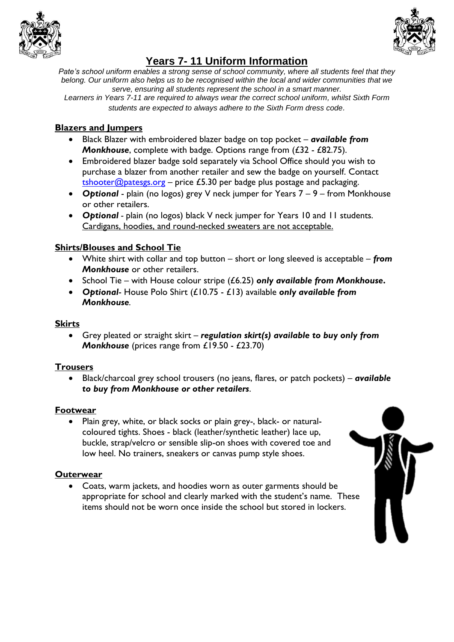



# **Years 7- 11 Uniform Information**

*Pate's school uniform enables a strong sense of school community, where all students feel that they belong. Our uniform also helps us to be recognised within the local and wider communities that we serve, ensuring all students represent the school in a smart manner. Learners in Years 7-11 are required to always wear the correct school uniform, whilst Sixth Form* 

*students are expected to always adhere to the Sixth Form dress code.*

## **Blazers and Jumpers**

- Black Blazer with embroidered blazer badge on top pocket *available from Monkhouse*, complete with badge. Options range from (£32 - £82.75).
- Embroidered blazer badge sold separately via School Office should you wish to purchase a blazer from another retailer and sew the badge on yourself. Contact [tshooter@patesgs.org](mailto:tshooter@patesgs.org) – price £5.30 per badge plus postage and packaging.
- *Optional* plain (no logos) grey V neck jumper for Years 7 9 from Monkhouse or other retailers.
- *Optional -* plain (no logos) black V neck jumper for Years 10 and 11 students. Cardigans, hoodies, and round-necked sweaters are not acceptable.

## **Shirts/Blouses and School Tie**

- White shirt with collar and top button short or long sleeved is acceptable *from Monkhouse* or other retailers.
- School Tie with House colour stripe (£6.25) *only available from Monkhouse***.**
- *Optional* House Polo Shirt (£10.75 £13) available *only available from Monkhouse.*

#### **Skirts**

 Grey pleated or straight skirt – *regulation skirt(s) available to buy only from Monkhouse* (prices range from £19.50 - £23.70)

#### **Trousers**

 Black/charcoal grey school trousers (no jeans, flares, or patch pockets) – *available to buy from Monkhouse or other retailers*.

#### **Footwear**

 Plain grey, white, or black socks or plain grey-, black- or naturalcoloured tights. Shoes - black (leather/synthetic leather) lace up, buckle, strap/velcro or sensible slip-on shoes with covered toe and low heel. No trainers, sneakers or canvas pump style shoes.

#### **Outerwear**

 Coats, warm jackets, and hoodies worn as outer garments should be appropriate for school and clearly marked with the student's name. These items should not be worn once inside the school but stored in lockers.